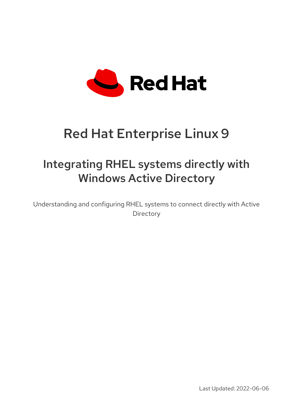

# Red Hat Enterprise Linux 9

# Integrating RHEL systems directly with Windows Active Directory

Understanding and configuring RHEL systems to connect directly with Active **Directory** 

Last Updated: 2022-06-06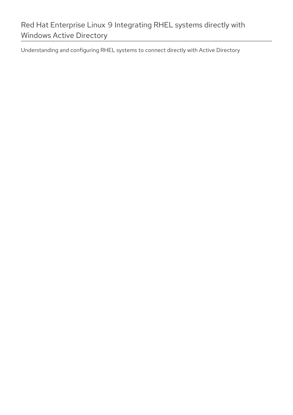# Red Hat Enterprise Linux 9 Integrating RHEL systems directly with Windows Active Directory

Understanding and configuring RHEL systems to connect directly with Active Directory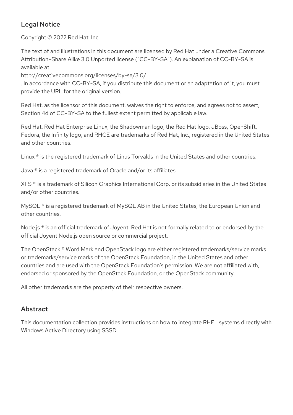# Legal Notice

Copyright © 2022 Red Hat, Inc.

The text of and illustrations in this document are licensed by Red Hat under a Creative Commons Attribution–Share Alike 3.0 Unported license ("CC-BY-SA"). An explanation of CC-BY-SA is available at

http://creativecommons.org/licenses/by-sa/3.0/

. In accordance with CC-BY-SA, if you distribute this document or an adaptation of it, you must provide the URL for the original version.

Red Hat, as the licensor of this document, waives the right to enforce, and agrees not to assert, Section 4d of CC-BY-SA to the fullest extent permitted by applicable law.

Red Hat, Red Hat Enterprise Linux, the Shadowman logo, the Red Hat logo, JBoss, OpenShift, Fedora, the Infinity logo, and RHCE are trademarks of Red Hat, Inc., registered in the United States and other countries.

Linux ® is the registered trademark of Linus Torvalds in the United States and other countries.

Java ® is a registered trademark of Oracle and/or its affiliates.

XFS ® is a trademark of Silicon Graphics International Corp. or its subsidiaries in the United States and/or other countries.

MySQL<sup>®</sup> is a registered trademark of MySQL AB in the United States, the European Union and other countries.

Node.js ® is an official trademark of Joyent. Red Hat is not formally related to or endorsed by the official Joyent Node.js open source or commercial project.

The OpenStack ® Word Mark and OpenStack logo are either registered trademarks/service marks or trademarks/service marks of the OpenStack Foundation, in the United States and other countries and are used with the OpenStack Foundation's permission. We are not affiliated with, endorsed or sponsored by the OpenStack Foundation, or the OpenStack community.

All other trademarks are the property of their respective owners.

### Abstract

This documentation collection provides instructions on how to integrate RHEL systems directly with Windows Active Directory using SSSD.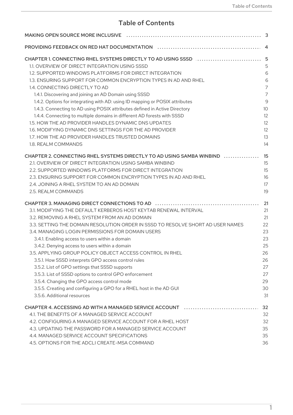# Table of Contents

| 1.1. OVERVIEW OF DIRECT INTEGRATION USING SSSD                                  |     |
|---------------------------------------------------------------------------------|-----|
| 1.2. SUPPORTED WINDOWS PLATFORMS FOR DIRECT INTEGRATION                         |     |
| 1.3. ENSURING SUPPORT FOR COMMON ENCRYPTION TYPES IN AD AND RHEL                |     |
| 1.4. CONNECTING DIRECTLY TO AD                                                  |     |
| 1.4.1. Discovering and joining an AD Domain using SSSD                          |     |
| 1.4.2. Options for integrating with AD: using ID mapping or POSIX attributes    |     |
|                                                                                 |     |
| 1.4.3. Connecting to AD using POSIX attributes defined in Active Directory      |     |
| 1.4.4. Connecting to multiple domains in different AD forests with SSSD         |     |
| 1.5. HOW THE AD PROVIDER HANDLES DYNAMIC DNS UPDATES                            |     |
| 1.6. MODIFYING DYNAMIC DNS SETTINGS FOR THE AD PROVIDER                         |     |
| 1.7. HOW THE AD PROVIDER HANDLES TRUSTED DOMAINS                                |     |
| 1.8. REALM COMMANDS                                                             | 14  |
| CHAPTER 2. CONNECTING RHEL SYSTEMS DIRECTLY TO AD USING SAMBA WINBIND           | -15 |
| 2.1. OVERVIEW OF DIRECT INTEGRATION USING SAMBA WINBIND                         | 15  |
| 2.2. SUPPORTED WINDOWS PLATFORMS FOR DIRECT INTEGRATION                         |     |
| 2.3. ENSURING SUPPORT FOR COMMON ENCRYPTION TYPES IN AD AND RHEL                |     |
| 2.4. JOINING A RHEL SYSTEM TO AN AD DOMAIN                                      |     |
| 2.5. REALM COMMANDS                                                             | 19  |
|                                                                                 | 21  |
| 3.1. MODIFYING THE DEFAULT KERBEROS HOST KEYTAB RENEWAL INTERVAL                | 21  |
| 3.2. REMOVING A RHEL SYSTEM FROM AN AD DOMAIN                                   | 21  |
| 3.3. SETTING THE DOMAIN RESOLUTION ORDER IN SSSD TO RESOLVE SHORT AD USER NAMES | 22  |
|                                                                                 |     |
| 3.4. MANAGING LOGIN PERMISSIONS FOR DOMAIN USERS                                | 23  |
| 3.4.1. Enabling access to users within a domain                                 | 23  |
| 3.4.2. Denying access to users within a domain                                  | 25  |
| 3.5. APPLYING GROUP POLICY OBJECT ACCESS CONTROL IN RHEL                        | 26  |
| 3.5.1. How SSSD interprets GPO access control rules                             | 26  |
| 3.5.2. List of GPO settings that SSSD supports                                  | 27  |
| 3.5.3. List of SSSD options to control GPO enforcement                          | 27  |
| 3.5.4. Changing the GPO access control mode                                     | 29  |
| 3.5.5. Creating and configuring a GPO for a RHEL host in the AD GUI             | 30  |
| 3.5.6. Additional resources                                                     | 31  |
| CHAPTER 4. ACCESSING AD WITH A MANAGED SERVICE ACCOUNT                          | 32  |
| 4.1. THE BENEFITS OF A MANAGED SERVICE ACCOUNT                                  | 32  |
| 4.2. CONFIGURING A MANAGED SERVICE ACCOUNT FOR A RHEL HOST                      | 32  |
| 4.3. UPDATING THE PASSWORD FOR A MANAGED SERVICE ACCOUNT                        | 35  |
| 4.4. MANAGED SERVICE ACCOUNT SPECIFICATIONS                                     | 35  |
|                                                                                 |     |
| 4.5. OPTIONS FOR THE ADCLI CREATE-MSA COMMAND                                   | 36  |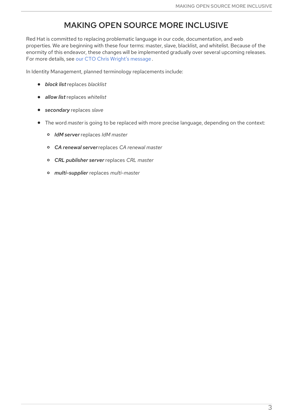# MAKING OPEN SOURCE MORE INCLUSIVE

<span id="page-6-0"></span>Red Hat is committed to replacing problematic language in our code, documentation, and web properties. We are beginning with these four terms: master, slave, blacklist, and whitelist. Because of the enormity of this endeavor, these changes will be implemented gradually over several upcoming releases. For more details, see our CTO Chris Wright's [message](https://www.redhat.com/en/blog/making-open-source-more-inclusive-eradicating-problematic-language) .

In Identity Management, planned terminology replacements include:

- *block list* replaces *blacklist*
- *allow list* replaces *whitelist*
- *secondary* replaces *slave*
- The word *master* is going to be replaced with more precise language, depending on the context:
	- *IdM server* replaces *IdM master*
	- *CA renewal server*replaces *CA renewal master*
	- *CRL publisher server* replaces *CRL master*
	- *multi-supplier* replaces *multi-master*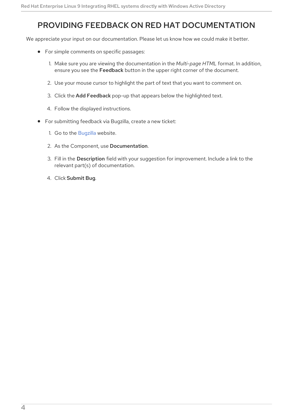# <span id="page-7-0"></span>PROVIDING FEEDBACK ON RED HAT DOCUMENTATION

We appreciate your input on our documentation. Please let us know how we could make it better.

- For simple comments on specific passages:
	- 1. Make sure you are viewing the documentation in the *Multi-page HTML* format. In addition, ensure you see the Feedback button in the upper right corner of the document.
	- 2. Use your mouse cursor to highlight the part of text that you want to comment on.
	- 3. Click the Add Feedback pop-up that appears below the highlighted text.
	- 4. Follow the displayed instructions.
- For submitting feedback via Bugzilla, create a new ticket:
	- 1. Go to the [Bugzilla](https://bugzilla.redhat.com/enter_bug.cgi?product=Red Hat Enterprise Linux 9) website.
	- 2. As the Component, use Documentation.
	- 3. Fill in the Description field with your suggestion for improvement. Include a link to the relevant part(s) of documentation.
	- 4. Click Submit Bug.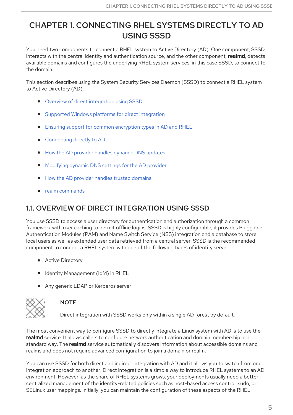# <span id="page-8-0"></span>CHAPTER 1. CONNECTING RHEL SYSTEMS DIRECTLY TO AD USING SSSD

You need two components to connect a RHEL system to Active Directory (AD). One component, SSSD, interacts with the central identity and authentication source, and the other component, **realmd**, detects available domains and configures the underlying RHEL system services, in this case SSSD, to connect to the domain.

This section describes using the System Security Services Daemon (SSSD) to connect a RHEL system to Active Directory (AD).

- Overview of direct [integration](#page-8-1) using SSSD
- Supported Windows platforms for direct [integration](#page-9-0)
- Ensuring support for common [encryption](#page-10-2) types in AD and RHEL
- [Connecting](#page-12-1) directly to AD
- How the AD provider handles [dynamic](#page-15-1) DNS updates
- [Modifying](#page-16-1) dynamic DNS settings for the AD provider
- How the AD provider handles trusted [domains](#page-16-0)
- realm [commands](#page-17-0)

# <span id="page-8-1"></span>1.1. OVERVIEW OF DIRECT INTEGRATION USING SSSD

You use SSSD to access a user directory for authentication and authorization through a common framework with user caching to permit offline logins. SSSD is highly configurable; it provides Pluggable Authentication Modules (PAM) and Name Switch Service (NSS) integration and a database to store local users as well as extended user data retrieved from a central server. SSSD is the recommended component to connect a RHEL system with one of the following types of identity server:

- **•** Active Directory
- Identity Management (IdM) in RHEL
- Any generic LDAP or Kerberos server



#### **NOTE**

Direct integration with SSSD works only within a single AD forest by default.

The most convenient way to configure SSSD to directly integrate a Linux system with AD is to use the **realmd** service. It allows callers to configure network authentication and domain membership in a standard way. The **realmd** service automatically discovers information about accessible domains and realms and does not require advanced configuration to join a domain or realm.

You can use SSSD for both direct and indirect integration with AD and it allows you to switch from one integration approach to another. Direct integration is a simple way to introduce RHEL systems to an AD environment. However, as the share of RHEL systems grows, your deployments usually need a better centralized management of the identity-related policies such as host-based access control, sudo, or SELinux user mappings. Initially, you can maintain the configuration of these aspects of the RHEL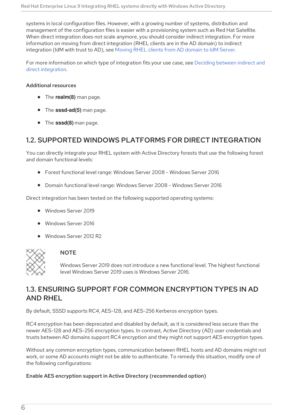systems in local configuration files. However, with a growing number of systems, distribution and management of the configuration files is easier with a provisioning system such as Red Hat Satellite. When direct integration does not scale anymore, you should consider indirect integration. For more information on moving from direct integration (RHEL clients are in the AD domain) to indirect integration (IdM with trust to AD), see Moving RHEL clients from AD [domain](https://www.freeipa.org/page/V4/IPA_Client_in_Active_Directory_DNS_domain) to IdM Server.

For more [information](https://access.redhat.com/documentation/en-us/red_hat_enterprise_linux/8/html/planning_identity_management/planning-integration-with-ad_planning-identity-management#deciding-between-indirect-and-direct-integration_planning-integration-with-ad) on which type of integration fits your use case, see Deciding between indirect and direct integration.

#### Additional resources

- The **realm(8)** man page.
- The **sssd-ad(5)** man page.
- The **sssd(8)** man page.

## <span id="page-9-0"></span>1.2. SUPPORTED WINDOWS PLATFORMS FOR DIRECT INTEGRATION

You can directly integrate your RHEL system with Active Directory forests that use the following forest and domain functional levels:

- Forest functional level range: Windows Server 2008 Windows Server 2016
- Domain functional level range: Windows Server 2008 Windows Server 2016

Direct integration has been tested on the following supported operating systems:

- **Windows Server 2019**
- Windows Server 2016
- Windows Server 2012 R2



#### **NOTE**

Windows Server 2019 does not introduce a new functional level. The highest functional level Windows Server 2019 uses is Windows Server 2016.

# <span id="page-9-1"></span>1.3. ENSURING SUPPORT FOR COMMON ENCRYPTION TYPES IN AD AND RHEL

By default, SSSD supports RC4, AES-128, and AES-256 Kerberos encryption types.

RC4 encryption has been deprecated and disabled by default, as it is considered less secure than the newer AES-128 and AES-256 encryption types. In contrast, Active Directory (AD) user credentials and trusts between AD domains support RC4 encryption and they might not support AES encryption types.

Without any common encryption types, communication between RHEL hosts and AD domains might not work, or some AD accounts might not be able to authenticate. To remedy this situation, modify one of the following configurations:

#### Enable AES encryption support in Active Directory (recommended option)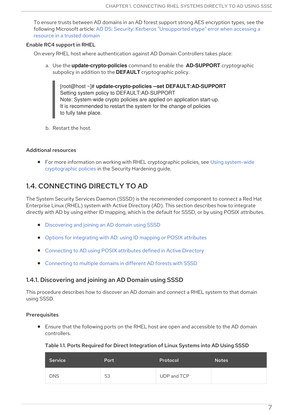<span id="page-10-2"></span>To ensure trusts between AD domains in an AD forest support strong AES encryption types, see the following Microsoft article: AD DS: Security: Kerberos ["Unsupported](https://docs.microsoft.com/en-us/troubleshoot/windows-server/windows-security/unsupported-etype-error-accessing-trusted-domain) etype" error when accessing a resource in a trusted domain

#### Enable RC4 support in RHEL

On every RHEL host where authentication against AD Domain Controllers takes place:

a. Use the **update-crypto-policies** command to enable the **AD-SUPPORT** cryptographic subpolicy in addition to the **DEFAULT** cryptographic policy.

[root@host ~]# **update-crypto-policies --set DEFAULT:AD-SUPPORT** Setting system policy to DEFAULT:AD-SUPPORT Note: System-wide crypto policies are applied on application start-up. It is recommended to restart the system for the change of policies to fully take place.

b. Restart the host.

#### Additional resources

For more information on working with RHEL [cryptographic](https://access.redhat.com/documentation/en-us/red_hat_enterprise_linux/9/html/security_hardening/using-the-system-wide-cryptographic-policies_security-hardening) policies, see Using system-wide cryptographic policies in the Security Hardening guide.

# <span id="page-10-0"></span>1.4. CONNECTING DIRECTLY TO AD

The System Security Services Daemon (SSSD) is the recommended component to connect a Red Hat Enterprise Linux (RHEL) system with Active Directory (AD). This section describes how to integrate directly with AD by using either ID mapping, which is the default for SSSD, or by using POSIX attributes.

- [Discovering](#page-11-0) and joining an AD domain using SSSD
- Options for [integrating](#page-12-0) with AD: using ID mapping or POSIX attributes
- [Connecting](#page-14-0) to AD using POSIX attributes defined in Active Directory
- [Connecting](#page-15-0) to multiple domains in different AD forests with SSSD

#### <span id="page-10-1"></span>1.4.1. Discovering and joining an AD Domain using SSSD

This procedure describes how to discover an AD domain and connect a RHEL system to that domain using SSSD.

#### Prerequisites

Ensure that the following ports on the RHEL host are open and accessible to the AD domain controllers.

#### Table 1.1. Ports Required for Direct Integration of Linux Systems into AD Using SSSD

| Service    | Port | Protocol    | <b>Notes</b> |
|------------|------|-------------|--------------|
| <b>DNS</b> | 53   | UDP and TCP |              |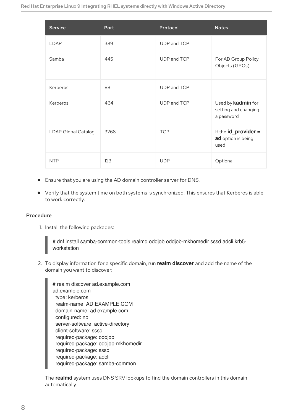<span id="page-11-0"></span>

| <b>Service</b>             | Port | Protocol    | <b>Notes</b>                                                    |
|----------------------------|------|-------------|-----------------------------------------------------------------|
| <b>LDAP</b>                | 389  | UDP and TCP |                                                                 |
| Samba                      | 445  | UDP and TCP | For AD Group Policy<br>Objects (GPOs)                           |
| Kerberos                   | 88   | UDP and TCP |                                                                 |
| Kerberos                   | 464  | UDP and TCP | Used by <b>kadmin</b> for<br>setting and changing<br>a password |
| <b>LDAP Global Catalog</b> | 3268 | <b>TCP</b>  | If the id_provider =<br>ad option is being<br>used              |
| <b>NTP</b>                 | 123  | <b>UDP</b>  | Optional                                                        |

- Ensure that you are using the AD domain controller server for DNS.
- Verify that the system time on both systems is synchronized. This ensures that Kerberos is able to work correctly.

#### Procedure

1. Install the following packages:

# dnf install samba-common-tools realmd oddjob oddjob-mkhomedir sssd adcli krb5 workstation

- 2. To display information for a specific domain, run **realm discover** and add the name of the domain you want to discover:
	- # realm discover ad.example.com ad.example.com type: kerberos realm-name: AD.EXAMPLE.COM domain-name: ad.example.com configured: no server-software: active-directory client-software: sssd required-package: oddjob required-package: oddjob-mkhomedir required-package: sssd required-package: adcli required-package: samba-common

The **realmd** system uses DNS SRV lookups to find the domain controllers in this domain automatically.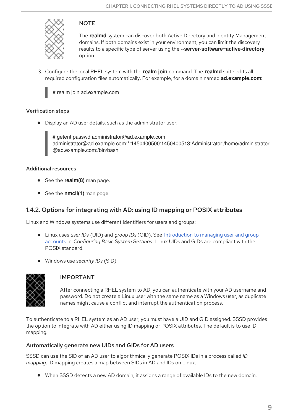<span id="page-12-1"></span>

The **realmd** system can discover both Active Directory and Identity Management domains. If both domains exist in your environment, you can limit the discovery results to a specific type of server using the **--server-software=active-directory** option.

3. Configure the local RHEL system with the **realm join** command. The **realmd** suite edits all required configuration files automatically. For example, for a domain named **ad.example.com**:



**NOTE** 

#### Verification steps

Display an AD user details, such as the administrator user:

# getent passwd administrator@ad.example.com administrator@ad.example.com:\*:1450400500:1450400513:Administrator:/home/administrator @ad.example.com:/bin/bash

#### Additional resources

- See the **realm(8)** man page.
- See the **nmcli(1)** man page.

### <span id="page-12-0"></span>1.4.2. Options for integrating with AD: using ID mapping or POSIX attributes

Linux and Windows systems use different identifiers for users and groups:

- Linux uses *user IDs* (UID) and *group IDs* (GID). See [Introduction](https://access.redhat.com/documentation/en-us/red_hat_enterprise_linux/9/html/configuring_basic_system_settings/introduction-to-managing-user-and-group-accounts_configuring-basic-system-settings) to managing user and group accounts in *Configuring Basic System Settings* . Linux UIDs and GIDs are compliant with the POSIX standard.
- Windows use *security IDs* (SID).



#### IMPORTANT

After connecting a RHEL system to AD, you can authenticate with your AD username and password. Do not create a Linux user with the same name as a Windows user, as duplicate names might cause a conflict and interrupt the authentication process.

To authenticate to a RHEL system as an AD user, you must have a UID and GID assigned. SSSD provides the option to integrate with AD either using ID mapping or POSIX attributes. The default is to use ID mapping.

#### Automatically generate new UIDs and GIDs for AD users

SSSD can use the SID of an AD user to algorithmically generate POSIX IDs in a process called *ID mapping*. ID mapping creates a map between SIDs in AD and IDs on Linux.

When SSSD detects a new AD domain, it assigns a range of available IDs to the new domain.

When a  $\mathcal{S}$  is the first time, SSSD client mathematic for the first time, SSSD creates and  $\mathcal{S}$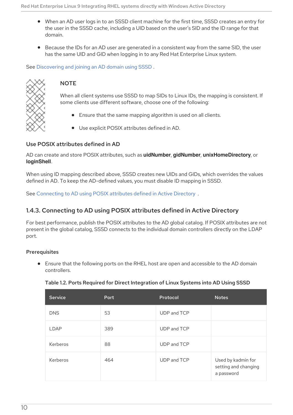- When an AD user logs in to an SSSD client machine for the first time, SSSD creates an entry for the user in the SSSD cache, including a UID based on the user's SID and the ID range for that domain.
- Because the IDs for an AD user are generated in a consistent way from the same SID, the user has the same UID and GID when logging in to any Red Hat Enterprise Linux system.

See [Discovering](#page-11-0) and joining an AD domain using SSSD .



#### **NOTE**

When all client systems use SSSD to map SIDs to Linux IDs, the mapping is consistent. If some clients use different software, choose one of the following:

- Ensure that the same mapping algorithm is used on all clients.
- Use explicit POSIX attributes defined in AD.

#### Use POSIX attributes defined in AD

AD can create and store POSIX attributes, such as **uidNumber**, **gidNumber**, **unixHomeDirectory**, or **loginShell**.

When using ID mapping described above, SSSD creates new UIDs and GIDs, which overrides the values defined in AD. To keep the AD-defined values, you must disable ID mapping in SSSD.

See [Connecting](#page-14-0) to AD using POSIX attributes defined in Active Directory .

### <span id="page-13-0"></span>1.4.3. Connecting to AD using POSIX attributes defined in Active Directory

For best performance, publish the POSIX attributes to the AD global catalog. If POSIX attributes are not present in the global catalog, SSSD connects to the individual domain controllers directly on the LDAP port.

#### Prerequisites

Ensure that the following ports on the RHEL host are open and accessible to the AD domain controllers.

#### Table 1.2. Ports Required for Direct Integration of Linux Systems into AD Using SSSD

| <b>Service</b> | <b>Port</b> | Protocol    | <b>Notes</b>                                             |
|----------------|-------------|-------------|----------------------------------------------------------|
| <b>DNS</b>     | 53          | UDP and TCP |                                                          |
| <b>LDAP</b>    | 389         | UDP and TCP |                                                          |
| Kerberos       | 88          | UDP and TCP |                                                          |
| Kerberos       | 464         | UDP and TCP | Used by kadmin for<br>setting and changing<br>a password |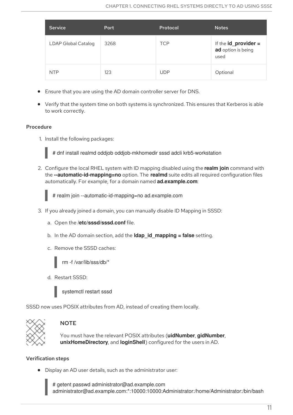<span id="page-14-0"></span>

| <b>Service</b>             | <b>Port</b> | Protocol   | <b>Notes</b>                                       |
|----------------------------|-------------|------------|----------------------------------------------------|
| <b>LDAP Global Catalog</b> | 3268        | <b>TCP</b> | If the id_provider =<br>ad option is being<br>used |
| <b>NTP</b>                 | 123         | <b>UDP</b> | Optional                                           |

- Ensure that you are using the AD domain controller server for DNS.
- Verify that the system time on both systems is synchronized. This ensures that Kerberos is able to work correctly.

#### Procedure

1. Install the following packages:

# dnf install realmd oddjob oddjob-mkhomedir sssd adcli krb5-workstation

2. Configure the local RHEL system with ID mapping disabled using the **realm join** command with the **--automatic-id-mapping=no** option. The **realmd** suite edits all required configuration files automatically. For example, for a domain named **ad.example.com**:

# realm join --automatic-id-mapping=no ad.example.com

- 3. If you already joined a domain, you can manually disable ID Mapping in SSSD:
	- a. Open the **/etc/sssd/sssd.conf** file.
	- b. In the AD domain section, add the **ldap\_id\_mapping = false** setting.
	- c. Remove the SSSD caches:



d. Restart SSSD:

systemctl restart sssd

SSSD now uses POSIX attributes from AD, instead of creating them locally.



#### **NOTE**

You must have the relevant POSIX attributes (**uidNumber**, **gidNumber**, **unixHomeDirectory**, and **loginShell**) configured for the users in AD.

#### Verification steps

Display an AD user details, such as the administrator user:

# getent passwd administrator@ad.example.com administrator@ad.example.com:\*:10000:10000:Administrator:/home/Administrator:/bin/bash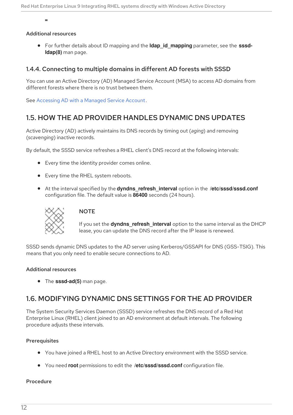$\overline{a}$ 

#### Additional resources

**•** For further details about ID mapping and the **Idap id mapping** parameter, see the **sssdldap(8)** man page.

#### <span id="page-15-0"></span>1.4.4. Connecting to multiple domains in different AD forests with SSSD

You can use an Active Directory (AD) Managed Service Account (MSA) to access AD domains from different forests where there is no trust between them.

See [Accessing](https://access.redhat.com/documentation/en-us/red_hat_enterprise_linux/8/html/integrating_rhel_systems_directly_with_windows_active_directory/assembly_accessing-ad-with-a-managed-service-account_integrating-rhel-systems-directly-with-active-directory) AD with a Managed Service Account.

# <span id="page-15-1"></span>1.5. HOW THE AD PROVIDER HANDLES DYNAMIC DNS UPDATES

Active Directory (AD) actively maintains its DNS records by timing out (*aging*) and removing (*scavenging*) inactive records.

By default, the SSSD service refreshes a RHEL client's DNS record at the following intervals:

- Every time the identity provider comes online.
- Every time the RHEL system reboots.
- At the interval specified by the **dyndns\_refresh\_interval** option in the **/etc/sssd/sssd.conf** configuration file. The default value is **86400** seconds (24 hours).



#### **NOTE**

If you set the **dyndns refresh interval** option to the same interval as the DHCP lease, you can update the DNS record after the IP lease is renewed.

SSSD sends dynamic DNS updates to the AD server using Kerberos/GSSAPI for DNS (GSS-TSIG). This means that you only need to enable secure connections to AD.

#### Additional resources

The **sssd-ad(5)** man page.

### <span id="page-15-2"></span>1.6. MODIFYING DYNAMIC DNS SETTINGS FOR THE AD PROVIDER

The System Security Services Daemon (SSSD) service refreshes the DNS record of a Red Hat Enterprise Linux (RHEL) client joined to an AD environment at default intervals. The following procedure adjusts these intervals.

#### Prerequisites

- You have joined a RHEL host to an Active Directory environment with the SSSD service.
- You need **root** permissions to edit the **/etc/sssd/sssd.conf** configuration file.

#### Procedure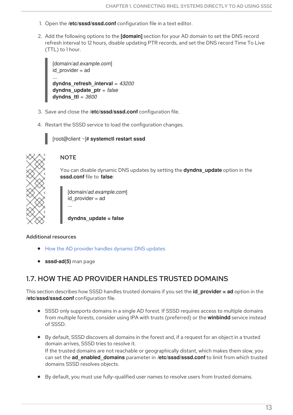- <span id="page-16-1"></span>1. Open the **/etc/sssd/sssd.conf** configuration file in a text editor.
- 2. Add the following options to the **[domain]** section for your AD domain to set the DNS record refresh interval to 12 hours, disable updating PTR records, and set the DNS record Time To Live (TTL) to 1 hour.

```
[domain/ad.example.com]
id provider = ad
...
dyndns_refresh_interval = 43200
dyndns_update_ptr = false
dyndns_ttl = 3600
```
- 3. Save and close the **/etc/sssd/sssd.conf** configuration file.
- 4. Restart the SSSD service to load the configuration changes.



[root@client ~]# **systemctl restart sssd**

You can disable dynamic DNS updates by setting the **dyndns\_update** option in the **sssd.conf** file to **false**:

[domain/*ad.example.com*] id  $provider = ad$ 

**dyndns\_update = false**

#### Additional resources

- How the AD provider handles [dynamic](#page-15-1) DNS updates
- **sssd-ad(5)** man page

**NOTE** 

...

# <span id="page-16-0"></span>1.7. HOW THE AD PROVIDER HANDLES TRUSTED DOMAINS

This section describes how SSSD handles trusted domains if you set the **id\_provider = ad** option in the **/etc/sssd/sssd.conf** configuration file.

- SSSD only supports domains in a single AD forest. If SSSD requires access to multiple domains from multiple forests, consider using IPA with trusts (preferred) or the **winbindd** service instead of SSSD.
- By default, SSSD discovers all domains in the forest and, if a request for an object in a trusted domain arrives, SSSD tries to resolve it. If the trusted domains are not reachable or geographically distant, which makes them slow, you can set the **ad\_enabled\_domains** parameter in **/etc/sssd/sssd.conf** to limit from which trusted domains SSSD resolves objects.
- By default, you must use fully-qualified user names to resolve users from trusted domains.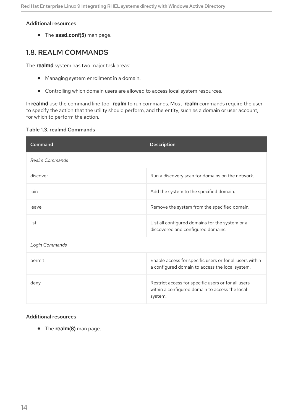#### Additional resources

The **sssd.conf(5)** man page.

## <span id="page-17-0"></span>1.8. REALM COMMANDS

The **realmd** system has two major task areas:

- Managing system enrollment in a domain.
- Controlling which domain users are allowed to access local system resources.

In **realmd** use the command line tool **realm** to run commands. Most **realm** commands require the user to specify the action that the utility should perform, and the entity, such as a domain or user account, for which to perform the action.

#### Table 1.3. realmd Commands

| Command        | <b>Description</b>                                                                                               |
|----------------|------------------------------------------------------------------------------------------------------------------|
| Realm Commands |                                                                                                                  |
| discover       | Run a discovery scan for domains on the network.                                                                 |
| join           | Add the system to the specified domain.                                                                          |
| leave          | Remove the system from the specified domain.                                                                     |
| list           | List all configured domains for the system or all<br>discovered and configured domains.                          |
| Login Commands |                                                                                                                  |
| permit         | Enable access for specific users or for all users within<br>a configured domain to access the local system.      |
| deny           | Restrict access for specific users or for all users<br>within a configured domain to access the local<br>system. |

#### Additional resources

The **realm(8)** man page.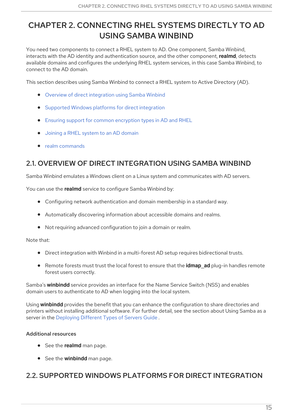# <span id="page-18-0"></span>CHAPTER 2. CONNECTING RHEL SYSTEMS DIRECTLY TO AD USING SAMBA WINBIND

You need two components to connect a RHEL system to AD. One component, Samba Winbind, interacts with the AD identity and authentication source, and the other component, **realmd**, detects available domains and configures the underlying RHEL system services, in this case Samba Winbind, to connect to the AD domain.

This section describes using Samba Winbind to connect a RHEL system to Active Directory (AD).

- Overview of direct [integration](#page-18-1) using Samba Winbind
- Supported Windows platforms for direct [integration](#page-9-0)
- Ensuring support for common [encryption](#page-19-0) types in AD and RHEL
- Joining a RHEL system to an AD [domain](#page-21-0)
- realm [commands](#page-17-0)

# <span id="page-18-1"></span>2.1. OVERVIEW OF DIRECT INTEGRATION USING SAMBA WINBIND

Samba Winbind emulates a Windows client on a Linux system and communicates with AD servers.

You can use the **realmd** service to configure Samba Winbind by:

- Configuring network authentication and domain membership in a standard way.
- Automatically discovering information about accessible domains and realms.
- Not requiring advanced configuration to join a domain or realm.

#### Note that:

- Direct integration with Winbind in a multi-forest AD setup requires bidirectional trusts.
- Remote forests must trust the local forest to ensure that the **idmap\_ad** plug-in handles remote forest users correctly.

Samba's **winbindd** service provides an interface for the Name Service Switch (NSS) and enables domain users to authenticate to AD when logging into the local system.

Using **winbindd** provides the benefit that you can enhance the configuration to share directories and printers without installing additional software. For further detail, see the section about Using Samba as a server in the [Deploying](https://access.redhat.com/documentation/en-us/red_hat_enterprise_linux/8/html/deploying_different_types_of_servers/assembly_using-samba-as-a-server_deploying-different-types-of-servers) Different Types of Servers Guide .

#### Additional resources

- **See the realmd** man page.
- See the **winbindd** man page.

# <span id="page-18-2"></span>2.2. SUPPORTED WINDOWS PLATFORMS FOR DIRECT INTEGRATION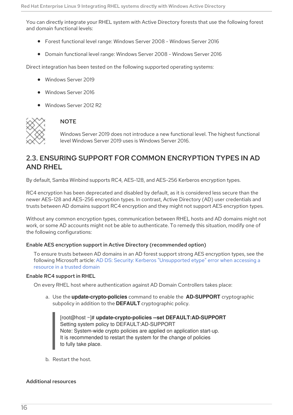You can directly integrate your RHEL system with Active Directory forests that use the following forest and domain functional levels:

- Forest functional level range: Windows Server 2008 Windows Server 2016
- Domain functional level range: Windows Server 2008 Windows Server 2016

Direct integration has been tested on the following supported operating systems:

- Windows Server 2019
- Windows Server 2016
- Windows Server 2012 R2



#### **NOTE**

Windows Server 2019 does not introduce a new functional level. The highest functional level Windows Server 2019 uses is Windows Server 2016.

# <span id="page-19-0"></span>2.3. ENSURING SUPPORT FOR COMMON ENCRYPTION TYPES IN AD AND RHEL

By default, Samba Winbind supports RC4, AES-128, and AES-256 Kerberos encryption types.

RC4 encryption has been deprecated and disabled by default, as it is considered less secure than the newer AES-128 and AES-256 encryption types. In contrast, Active Directory (AD) user credentials and trusts between AD domains support RC4 encryption and they might not support AES encryption types.

Without any common encryption types, communication between RHEL hosts and AD domains might not work, or some AD accounts might not be able to authenticate. To remedy this situation, modify one of the following configurations:

#### Enable AES encryption support in Active Directory (recommended option)

To ensure trusts between AD domains in an AD forest support strong AES encryption types, see the following Microsoft article: AD DS: Security: Kerberos ["Unsupported](https://docs.microsoft.com/en-us/troubleshoot/windows-server/windows-security/unsupported-etype-error-accessing-trusted-domain) etype" error when accessing a resource in a trusted domain

#### Enable RC4 support in RHEL

On every RHEL host where authentication against AD Domain Controllers takes place:

a. Use the **update-crypto-policies** command to enable the **AD-SUPPORT** cryptographic subpolicy in addition to the **DEFAULT** cryptographic policy.

[root@host ~]# **update-crypto-policies --set DEFAULT:AD-SUPPORT** Setting system policy to DEFAULT:AD-SUPPORT Note: System-wide crypto policies are applied on application start-up. It is recommended to restart the system for the change of policies to fully take place.

b. Restart the host.

#### Additional resources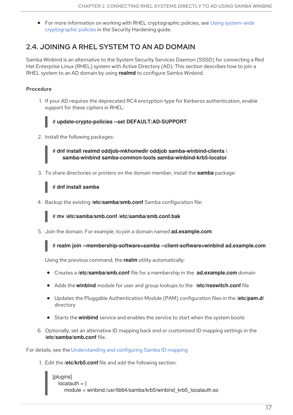For more information on working with RHEL [cryptographic](https://access.redhat.com/documentation/en-us/red_hat_enterprise_linux/9/html/security_hardening/using-the-system-wide-cryptographic-policies_security-hardening) policies, see Using system-wide cryptographic policies in the Security Hardening guide.

# <span id="page-20-0"></span>2.4. JOINING A RHEL SYSTEM TO AN AD DOMAIN

Samba Winbind is an alternative to the System Security Services Daemon (SSSD) for connecting a Red Hat Enterprise Linux (RHEL) system with Active Directory (AD). This section describes how to join a RHEL system to an AD domain by using **realmd** to configure Samba Winbind.

#### Procedure

1. If your AD requires the deprecated RC4 encryption type for Kerberos authentication, enable support for these ciphers in RHEL:



- # **update-crypto-policies --set DEFAULT:AD-SUPPORT**
- 2. Install the following packages:

# **dnf install realmd oddjob-mkhomedir oddjob samba-winbind-clients \ samba-winbind samba-common-tools samba-winbind-krb5-locator**

3. To share directories or printers on the domain member, install the **samba** package:

#### # **dnf install samba**

4. Backup the existing **/etc/samba/smb.conf** Samba configuration file:



# **mv /etc/samba/smb.conf /etc/samba/smb.conf.bak**

5. Join the domain. For example, to join a domain named **ad.example.com**:

# **realm join --membership-software=samba --client-software=winbind ad.example.com**

Using the previous command, the **realm** utility automatically:

- Creates a **/etc/samba/smb.conf** file for a membership in the **ad.example.com** domain
- Adds the **winbind** module for user and group lookups to the **/etc/nsswitch.conf** file
- Updates the Pluggable Authentication Module (PAM) configuration files in the **/etc/pam.d/** directory
- Starts the **winbind** service and enables the service to start when the system boots
- 6. Optionally, set an alternative ID mapping back end or customized ID mapping settings in the **/etc/samba/smb.conf** file.

For details, see the [Understanding](https://access.redhat.com/documentation/en-us/red_hat_enterprise_linux/9/html/configuring-and-using-network-file-services/assembly_using-samba-as-a-server_configuring-and-using-network-file-services#) and configuring Samba ID mapping

1. Edit the **/etc/krb5.conf** file and add the following section:

```
[plugins]
  localauth = \{module = winbind:/usr/lib64/samba/krb5/winbind_krb5_localauth.so
```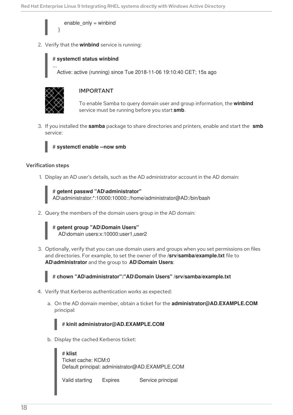<span id="page-21-0"></span>

2. Verify that the **winbind** service is running:

#### # **systemctl status winbind**

... Active: active (running) since Tue 2018-11-06 19:10:40 CET; 15s ago



#### IMPORTANT

To enable Samba to query domain user and group information, the **winbind** service must be running before you start **smb**.

3. If you installed the **samba** package to share directories and printers, enable and start the **smb** service:



# **systemctl enable --now smb**

#### Verification steps

1. Display an AD user's details, such as the AD administrator account in the AD domain:

# **getent passwd "AD\administrator"** AD\administrator:\*:10000:10000::/home/administrator@AD:/bin/bash

2. Query the members of the domain users group in the AD domain:

# **getent group "AD\Domain Users"** AD\domain users:x:10000:user1,user2

3. Optionally, verify that you can use domain users and groups when you set permissions on files and directories. For example, to set the owner of the **/srv/samba/example.txt** file to **AD\administrator** and the group to **AD\Domain Users**:



# **chown "AD\administrator":"AD\Domain Users" /srv/samba/example.txt**

- 4. Verify that Kerberos authentication works as expected:
	- a. On the AD domain member, obtain a ticket for the **administrator@AD.EXAMPLE.COM** principal:

### # **kinit administrator@AD.EXAMPLE.COM**

b. Display the cached Kerberos ticket:

# **klist** Ticket cache: KCM:0 Default principal: administrator@AD.EXAMPLE.COM

Valid starting Expires Service principal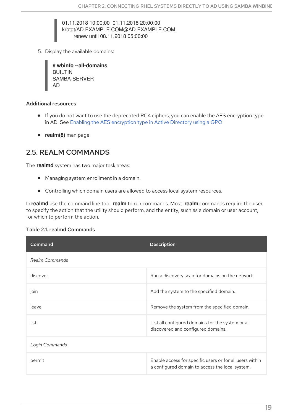#### 01.11.2018 10:00:00 01.11.2018 20:00:00 krbtgt/AD.EXAMPLE.COM@AD.EXAMPLE.COM renew until 08.11.2018 05:00:00

5. Display the available domains:

| # wbinfo --all-domains |
|------------------------|
| <b>BUILTIN</b>         |
| SAMBA-SERVER           |
| AD                     |

#### Additional resources

- If you do not want to use the deprecated RC4 ciphers, you can enable the AES encryption type in AD. See Enabling the AES [encryption](https://access.redhat.com/documentation/en-us/red_hat_enterprise_linux/9/html/configuring-and-using-network-file-services/assembly_using-samba-as-a-server_configuring-and-using-network-file-services#enabling-the-aes-encryption-type-in-active-directory-using-a-gpo_setting-up-samba-on-an-idm-domain-member) type in Active Directory using a GPO
- **realm(8)** man page

# <span id="page-22-0"></span>2.5. REALM COMMANDS

The **realmd** system has two major task areas:

- Managing system enrollment in a domain.
- Controlling which domain users are allowed to access local system resources.

In **realmd** use the command line tool **realm** to run commands. Most **realm** commands require the user to specify the action that the utility should perform, and the entity, such as a domain or user account, for which to perform the action.

#### Table 2.1. realmd Commands

| Command        | <b>Description</b>                                                                                          |
|----------------|-------------------------------------------------------------------------------------------------------------|
| Realm Commands |                                                                                                             |
| discover       | Run a discovery scan for domains on the network.                                                            |
| join           | Add the system to the specified domain.                                                                     |
| leave          | Remove the system from the specified domain.                                                                |
| list           | List all configured domains for the system or all<br>discovered and configured domains.                     |
| Login Commands |                                                                                                             |
| permit         | Enable access for specific users or for all users within<br>a configured domain to access the local system. |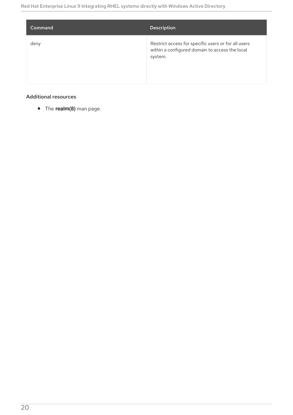| Command | <b>Description</b>                                                                                               |
|---------|------------------------------------------------------------------------------------------------------------------|
| deny    | Restrict access for specific users or for all users<br>within a configured domain to access the local<br>system. |

#### Additional resources

The **realm(8)** man page.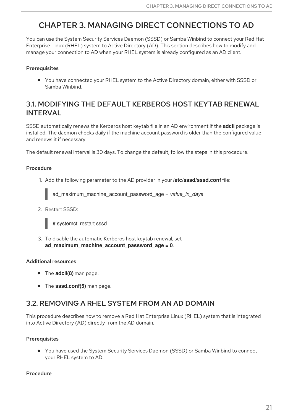# <span id="page-24-0"></span>CHAPTER 3. MANAGING DIRECT CONNECTIONS TO AD

You can use the System Security Services Daemon (SSSD) or Samba Winbind to connect your Red Hat Enterprise Linux (RHEL) system to Active Directory (AD). This section describes how to modify and manage your connection to AD when your RHEL system is already configured as an AD client.

#### **Prerequisites**

You have connected your RHEL system to the Active Directory domain, either with SSSD or Samba Winbind.

# <span id="page-24-1"></span>3.1. MODIFYING THE DEFAULT KERBEROS HOST KEYTAB RENEWAL INTERVAL

SSSD automatically renews the Kerberos host keytab file in an AD environment if the **adcli** package is installed. The daemon checks daily if the machine account password is older than the configured value and renews it if necessary.

The default renewal interval is 30 days. To change the default, follow the steps in this procedure.

#### Procedure

1. Add the following parameter to the AD provider in your **/etc/sssd/sssd.conf** file:

ad\_maximum\_machine\_account\_password\_age = *value\_in\_days*

2. Restart SSSD:



3. To disable the automatic Kerberos host keytab renewal, set **ad\_maximum\_machine\_account\_password\_age = 0**.

#### Additional resources

- The **adcli(8)** man page.
- The **sssd.conf(5)** man page.

### <span id="page-24-2"></span>3.2. REMOVING A RHEL SYSTEM FROM AN AD DOMAIN

This procedure describes how to remove a Red Hat Enterprise Linux (RHEL) system that is integrated into Active Directory (AD) directly from the AD domain.

#### **Prerequisites**

You have used the System Security Services Daemon (SSSD) or Samba Winbind to connect your RHEL system to AD.

#### Procedure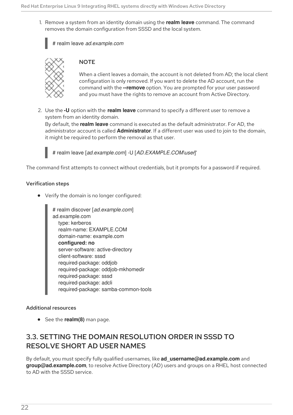1. Remove a system from an identity domain using the **realm leave** command. The command removes the domain configuration from SSSD and the local system.

# realm leave *ad.example.com*



#### **NOTE**

When a client leaves a domain, the account is not deleted from AD; the local client configuration is only removed. If you want to delete the AD account, run the command with the **--remove** option. You are prompted for your user password and you must have the rights to remove an account from Active Directory.

2. Use the **-U** option with the **realm leave** command to specify a different user to remove a system from an identity domain.

By default, the **realm leave** command is executed as the default administrator. For AD, the administrator account is called **Administrator**. If a different user was used to join to the domain, it might be required to perform the removal as that user.

# realm leave [*ad.example.com*] -U [*AD.EXAMPLE.COM\user*]'

The command first attempts to connect without credentials, but it prompts for a password if required.

#### Verification steps

Verify the domain is no longer configured:

# realm discover [*ad.example.com*] ad.example.com type: kerberos realm-name: EXAMPLE.COM domain-name: example.com **configured: no** server-software: active-directory client-software: sssd required-package: oddjob required-package: oddjob-mkhomedir required-package: sssd required-package: adcli required-package: samba-common-tools

#### Additional resources

**•** See the **realm(8)** man page.

# <span id="page-25-0"></span>3.3. SETTING THE DOMAIN RESOLUTION ORDER IN SSSD TO RESOLVE SHORT AD USER NAMES

By default, you must specify fully qualified usernames, like **ad username@ad.example.com** and **group@ad.example.com**, to resolve Active Directory (AD) users and groups on a RHEL host connected to AD with the SSSD service.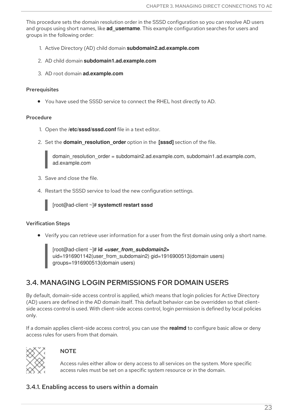This procedure sets the domain resolution order in the SSSD configuration so you can resolve AD users and groups using short names, like **ad username**. This example configuration searches for users and groups in the following order:

- 1. Active Directory (AD) child domain **subdomain2.ad.example.com**
- 2. AD child domain **subdomain1.ad.example.com**
- 3. AD root domain **ad.example.com**

#### **Prerequisites**

You have used the SSSD service to connect the RHEL host directly to AD.

#### Procedure

- 1. Open the **/etc/sssd/sssd.conf** file in a text editor.
- 2. Set the **domain\_resolution\_order** option in the **[sssd]** section of the file.

domain\_resolution\_order = subdomain2.ad.example.com, subdomain1.ad.example.com, ad.example.com

- 3. Save and close the file.
- 4. Restart the SSSD service to load the new configuration settings.



#### Verification Steps

Verify you can retrieve user information for a user from the first domain using only a short name.

[root@ad-client ~]# **id** *<user\_from\_subdomain2>* uid=1916901142(user\_from\_subdomain2) gid=1916900513(domain users) groups=1916900513(domain users)

# <span id="page-26-0"></span>3.4. MANAGING LOGIN PERMISSIONS FOR DOMAIN USERS

By default, domain-side access control is applied, which means that login policies for Active Directory (AD) users are defined in the AD domain itself. This default behavior can be overridden so that clientside access control is used. With client-side access control, login permission is defined by local policies only.

If a domain applies client-side access control, you can use the **realmd** to configure basic allow or deny access rules for users from that domain.



#### **NOTE**

Access rules either allow or deny access to all services on the system. More specific access rules must be set on a specific system resource or in the domain.

#### <span id="page-26-1"></span>3.4.1. Enabling access to users within a domain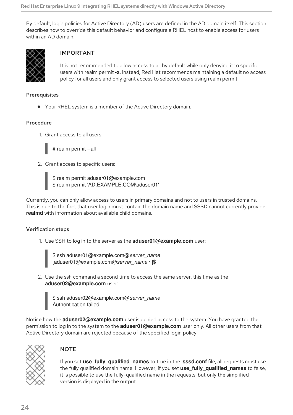By default, login policies for Active Directory (AD) users are defined in the AD domain itself. This section describes how to override this default behavior and configure a RHEL host to enable access for users within an AD domain.



#### IMPORTANT

It is not recommended to allow access to all by default while only denying it to specific users with realm permit **-x**. Instead, Red Hat recommends maintaining a default no access policy for all users and only grant access to selected users using realm permit.

#### **Prerequisites**

Your RHEL system is a member of the Active Directory domain.

#### Procedure

1. Grant access to all users:



2. Grant access to specific users:

\$ realm permit aduser01@example.com \$ realm permit 'AD.EXAMPLE.COM\aduser01'

Currently, you can only allow access to users in primary domains and not to users in trusted domains. This is due to the fact that user login must contain the domain name and SSSD cannot currently provide **realmd** with information about available child domains.

#### Verification steps

1. Use SSH to log in to the server as the **aduser01@example.com** user:

\$ ssh aduser01@example.com@*server\_name* [aduser01@example.com@*server\_name* ~]\$

2. Use the ssh command a second time to access the same server, this time as the **aduser02@example.com** user:

\$ ssh aduser02@example.com@*server\_name* Authentication failed.

Notice how the **aduser02@example.com** user is denied access to the system. You have granted the permission to log in to the system to the **aduser01@example.com** user only. All other users from that Active Directory domain are rejected because of the specified login policy.



#### **NOTE**

If you set **use\_fully\_qualified\_names** to true in the **sssd.conf** file, all requests must use the fully qualified domain name. However, if you set **use\_fully\_qualified\_names** to false, it is possible to use the fully-qualified name in the requests, but only the simplified version is displayed in the output.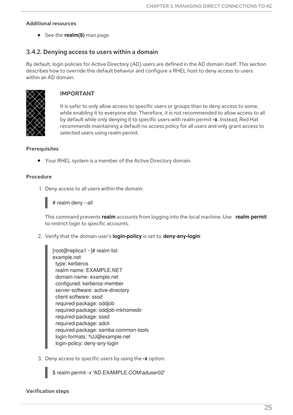#### Additional resources

See the **realm(8)** man page.

#### <span id="page-28-0"></span>3.4.2. Denying access to users within a domain

By default, login policies for Active Directory (AD) users are defined in the AD domain itself. This section describes how to override this default behavior and configure a RHEL host to deny access to users within an AD domain.



#### IMPORTANT

It is safer to only allow access to specific users or groups than to deny access to some, while enabling it to everyone else. Therefore, it is not recommended to allow access to all by default while only denying it to specific users with realm permit **-x**. Instead, Red Hat recommends maintaining a default no access policy for all users and only grant access to selected users using realm permit.

#### **Prerequisites**

Your RHEL system is a member of the Active Directory domain.

#### Procedure

1. Deny access to all users within the domain:

# realm deny --all

This command prevents **realm** accounts from logging into the local machine. Use **realm permit** to restrict login to specific accounts.

2. Verify that the domain user's **login-policy** is set to **deny-any-login**:

| [root@replica1 ~]# realm list        |
|--------------------------------------|
| example.net                          |
| type: kerberos                       |
| realm-name: EXAMPLE.NET              |
| domain-name: example.net             |
| configured: kerberos-member          |
| server-software: active-directory    |
| client-software: sssd                |
| required-package: oddjob             |
| required-package: oddjob-mkhomedir   |
| required-package: sssd               |
| required-package: adcli              |
| required-package: samba-common-tools |
| login-formats: %U@example.net        |
| login-policy: deny-any-login         |
|                                      |

3. Deny access to specific users by using the **-x** option:

\$ realm permit -x 'AD.EXAMPLE.COM\aduser02'

#### Verification steps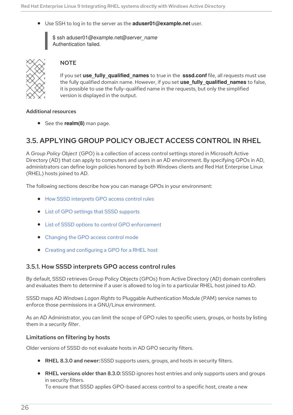Use SSH to log in to the server as the **aduser01@example.net** user.

\$ ssh aduser01@example.net@*server\_name* Authentication failed.



#### **NOTE**

If you set use fully qualified names to true in the **sssd.conf** file, all requests must use the fully qualified domain name. However, if you set **use\_fully\_qualified\_names** to false, it is possible to use the fully-qualified name in the requests, but only the simplified version is displayed in the output.

#### Additional resources

See the **realm(8)** man page.

# <span id="page-29-0"></span>3.5. APPLYING GROUP POLICY OBJECT ACCESS CONTROL IN RHEL

A *Group Policy Object* (GPO) is a collection of access control settings stored in Microsoft Active Directory (AD) that can apply to computers and users in an AD environment. By specifying GPOs in AD, administrators can define login policies honored by both Windows clients and Red Hat Enterprise Linux (RHEL) hosts joined to AD.

The following sections describe how you can manage GPOs in your environment:

- How SSSD [interprets](#page-29-1) GPO access control rules
- List of GPO settings that SSSD [supports](#page-30-0)
- List of SSSD options to control GPO [enforcement](#page-31-0)
- [Changing](#page-32-0) the GPO access control mode
- Creating and [configuring](#page-34-1) a GPO for a RHEL host

#### <span id="page-29-1"></span>3.5.1. How SSSD interprets GPO access control rules

By default, SSSD retrieves Group Policy Objects (GPOs) from Active Directory (AD) domain controllers and evaluates them to determine if a user is allowed to log in to a particular RHEL host joined to AD.

SSSD maps AD *Windows Logon Rights* to Pluggable Authentication Module (PAM) service names to enforce those permissions in a GNU/Linux environment.

As an AD Administrator, you can limit the scope of GPO rules to specific users, groups, or hosts by listing them in a *security filter*.

#### Limitations on filtering by hosts

Older versions of SSSD do not evaluate hosts in AD GPO security filters.

- RHEL 8.3.0 and newer:SSSD supports users, groups, and hosts in security filters.
- RHEL versions older than 8.3.0:SSSD ignores host entries and only supports users and groups in security filters.

To ensure that SSSD applies GPO-based access control to a specific host, create a new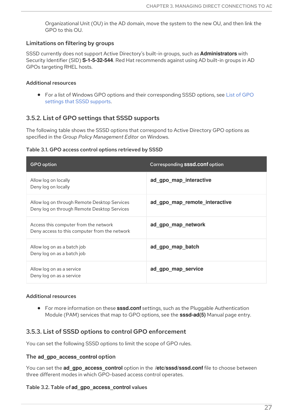Organizational Unit (OU) in the AD domain, move the system to the new OU, and then link the GPO to this OU.

#### Limitations on filtering by groups

SSSD currently does not support Active Directory's built-in groups, such as **Administrators** with Security Identifier (SID) **S-1-5-32-544**. Red Hat recommends against using AD built-in groups in AD GPOs targeting RHEL hosts.

#### Additional resources

For a list of Windows GPO options and their [corresponding](#page-30-0) SSSD options, see List of GPO settings that SSSD supports.

#### <span id="page-30-0"></span>3.5.2. List of GPO settings that SSSD supports

The following table shows the SSSD options that correspond to Active Directory GPO options as specified in the *Group Policy Management Editor* on Windows.

#### Table 3.1. GPO access control options retrieved by SSSD

| <b>GPO option</b>                                                                           | Corresponding SSSd.conf option |
|---------------------------------------------------------------------------------------------|--------------------------------|
| Allow log on locally<br>Deny log on locally                                                 | ad gpo_map_interactive         |
| Allow log on through Remote Desktop Services<br>Deny log on through Remote Desktop Services | ad_gpo_map_remote_interactive  |
| Access this computer from the network<br>Deny access to this computer from the network      | ad gpo map network             |
| Allow log on as a batch job<br>Deny log on as a batch job                                   | ad gpo map batch               |
| Allow log on as a service<br>Deny log on as a service                                       | ad gpo map service             |

#### Additional resources

For more information on these **sssd.conf** settings, such as the Pluggable Authentication Module (PAM) services that map to GPO options, see the **sssd-ad(5)** Manual page entry.

#### <span id="page-30-1"></span>3.5.3. List of SSSD options to control GPO enforcement

You can set the following SSSD options to limit the scope of GPO rules.

#### The **ad\_gpo\_access\_control** option

You can set the **ad qpo access control** option in the **/etc/sssd/sssd.conf** file to choose between three different modes in which GPO-based access control operates.

#### Table 3.2. Table of **ad\_gpo\_access\_control** values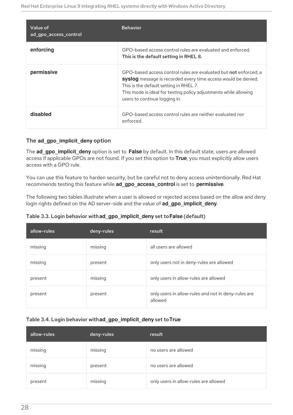<span id="page-31-0"></span>

| Value of<br>ad_gpo_access_control | <b>Behavior</b>                                                                                                                                                                                                                                                                         |
|-----------------------------------|-----------------------------------------------------------------------------------------------------------------------------------------------------------------------------------------------------------------------------------------------------------------------------------------|
| enforcing                         | GPO-based access control rules are evaluated and enforced.<br>This is the default setting in RHEL 8.                                                                                                                                                                                    |
| permissive                        | GPO-based access control rules are evaluated but not enforced; a<br><b>syslog</b> message is recorded every time access would be denied.<br>This is the default setting in RHEL 7.<br>This mode is ideal for testing policy adjustments while allowing<br>users to continue logging in. |
| disabled                          | GPO-based access control rules are neither evaluated nor<br>enforced.                                                                                                                                                                                                                   |

#### The **ad\_gpo\_implicit\_deny** option

The **ad\_gpo\_implicit\_deny** option is set to **False** by default. In this default state, users are allowed access if applicable GPOs are not found. If you set this option to **True**, you must explicitly allow users access with a GPO rule.

You can use this feature to harden security, but be careful not to deny access unintentionally. Red Hat recommends testing this feature while **ad\_gpo\_access\_control** is set to **permissive**.

The following two tables illustrate when a user is allowed or rejected access based on the allow and deny login rights defined on the AD server-side and the value of **ad gpo implicit deny**.

| Table 3.3. Login behavior with ad_gpo_implicit_deny set to False (default) |  |  |  |
|----------------------------------------------------------------------------|--|--|--|
|----------------------------------------------------------------------------|--|--|--|

| allow-rules | deny-rules | result                                                         |
|-------------|------------|----------------------------------------------------------------|
| missing     | missing    | all users are allowed                                          |
| missing     | present    | only users not in deny-rules are allowed                       |
| present     | missing    | only users in allow-rules are allowed                          |
| present     | present    | only users in allow-rules and not in deny-rules are<br>allowed |

#### Table 3.4. Login behavior with**ad\_gpo\_implicit\_deny** set to**True**

| allow-rules' | deny-rules | result                                |
|--------------|------------|---------------------------------------|
| missing      | missing    | no users are allowed                  |
| missing      | present    | no users are allowed                  |
| present      | missing    | only users in allow-rules are allowed |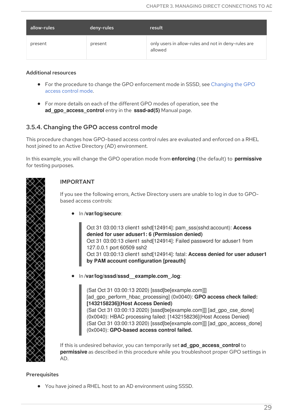| allow-rules | deny-rules | result                                                         |
|-------------|------------|----------------------------------------------------------------|
| present     | present    | only users in allow-rules and not in deny-rules are<br>allowed |

#### Additional resources

- For the procedure to change the GPO [enforcement](#page-32-0) mode in SSSD, see Changing the GPO access control mode.
- For more details on each of the different GPO modes of operation, see the **ad\_gpo\_access\_control** entry in the **sssd-ad(5)** Manual page.

#### <span id="page-32-0"></span>3.5.4. Changing the GPO access control mode

This procedure changes how GPO-based access control rules are evaluated and enforced on a RHEL host joined to an Active Directory (AD) environment.

In this example, you will change the GPO operation mode from **enforcing** (the default) to **permissive** for testing purposes.

### IMPORTANT

If you see the following errors, Active Directory users are unable to log in due to GPObased access controls:

In **/var/log/secure**:

Oct 31 03:00:13 client1 sshd[124914]: pam\_sss(sshd:account): **Access denied for user aduser1: 6 (Permission denied)** Oct 31 03:00:13 client1 sshd[124914]: Failed password for aduser1 from 127.0.0.1 port 60509 ssh2 Oct 31 03:00:13 client1 sshd[124914]: fatal: **Access denied for user aduser1 by PAM account configuration [preauth]**

In **/var/log/sssd/sssd\_\_example.com\_.log**:

(Sat Oct 31 03:00:13 2020) [sssd[be[example.com]]] [ad\_gpo\_perform\_hbac\_processing] (0x0040): **GPO access check failed: [1432158236](Host Access Denied)** (Sat Oct 31 03:00:13 2020) [sssd[be[example.com]]] [ad\_gpo\_cse\_done] (0x0040): HBAC processing failed: [1432158236](Host Access Denied} (Sat Oct 31 03:00:13 2020) [sssd[be[example.com]]] [ad\_gpo\_access\_done] (0x0040): **GPO-based access control failed.**

If this is undesired behavior, you can temporarily set **ad\_gpo\_access\_control** to **permissive** as described in this procedure while you troubleshoot proper GPO settings in AD.

#### **Prerequisites**

You have joined a RHEL host to an AD environment using SSSD.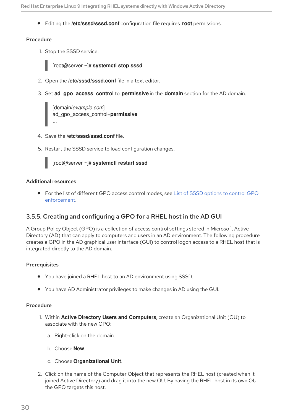Editing the **/etc/sssd/sssd.conf** configuration file requires **root** permissions.

#### Procedure

1. Stop the SSSD service.



[root@server ~]# **systemctl stop sssd**

- 2. Open the **/etc/sssd/sssd.conf** file in a text editor.
- 3. Set **ad\_gpo\_access\_control** to **permissive** in the **domain** section for the AD domain.

```
[domain/example.com]
ad_gpo_access_control=permissive
...
```
- 4. Save the **/etc/sssd/sssd.conf** file.
- 5. Restart the SSSD service to load configuration changes.



#### Additional resources

For the list of different GPO access control modes, see List of SSSD options to control GPO [enforcement.](#page-31-0)

#### <span id="page-33-0"></span>3.5.5. Creating and configuring a GPO for a RHEL host in the AD GUI

A Group Policy Object (GPO) is a collection of access control settings stored in Microsoft Active Directory (AD) that can apply to computers and users in an AD environment. The following procedure creates a GPO in the AD graphical user interface (GUI) to control logon access to a RHEL host that is integrated directly to the AD domain.

#### **Prerequisites**

- You have joined a RHEL host to an AD environment using SSSD.
- You have AD Administrator privileges to make changes in AD using the GUI.

#### Procedure

- 1. Within **Active Directory Users and Computers**, create an Organizational Unit (OU) to associate with the new GPO:
	- a. Right-click on the domain.
	- b. Choose **New**.
	- c. Choose **Organizational Unit**.
- 2. Click on the name of the Computer Object that represents the RHEL host (created when it joined Active Directory) and drag it into the new OU. By having the RHEL host in its own OU, the GPO targets this host.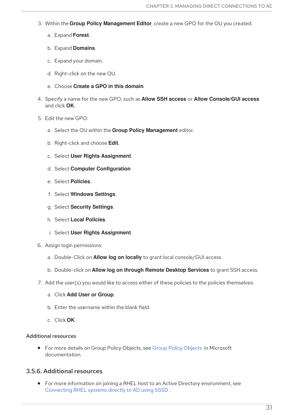- <span id="page-34-1"></span>3. Within the **Group Policy Management Editor**, create a new GPO for the OU you created:
	- a. Expand **Forest**.
	- b. Expand **Domains**.
	- c. Expand your domain.
	- d. Right-click on the new OU.
	- e. Choose **Create a GPO in this domain**.
- 4. Specify a name for the new GPO, such as **Allow SSH access** or **Allow Console/GUI access** and click **OK**.
- 5. Edit the new GPO:
	- a. Select the OU within the **Group Policy Management** editor.
	- b. Right-click and choose **Edit**.
	- c. Select **User Rights Assignment**.
	- d. Select **Computer Configuration**
	- e. Select **Policies**.
	- f. Select **Windows Settings**.
	- g. Select **Security Settings**.
	- h. Select **Local Policies**.
	- i. Select **User Rights Assignment**.
- 6. Assign login permissions:
	- a. Double-Click on **Allow log on locally** to grant local console/GUI access.
	- b. Double-click on **Allow log on through Remote Desktop Services** to grant SSH access.
- 7. Add the user(s) you would like to access either of these policies to the policies themselves:
	- a. Click **Add User or Group**.
	- b. Enter the username within the blank field.
	- c. Click **OK**.

#### Additional resources

For more details on Group Policy Objects, see Group Policy [Objects](https://docs.microsoft.com/en-us/previous-versions/windows/desktop/policy/group-policy-objects) in Microsoft documentation.

#### <span id="page-34-0"></span>3.5.6. Additional resources

For more information on joining a RHEL host to an Active Directory environment, see [Connecting](https://access.redhat.com/documentation/en-us/red_hat_enterprise_linux/9/html/integrating_rhel_systems_directly_with_windows_active_directory/connecting-rhel-systems-directly-to-ad-using-sssd_integrating-rhel-systems-directly-with-active-directory) RHEL systems directly to AD using SSSD .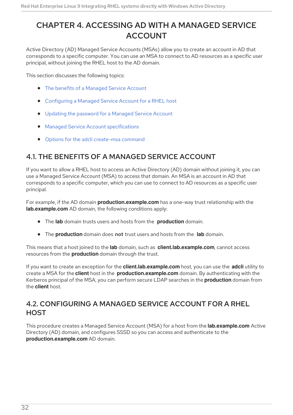# <span id="page-35-0"></span>CHAPTER 4. ACCESSING AD WITH A MANAGED SERVICE ACCOUNT

Active Directory (AD) Managed Service Accounts (MSAs) allow you to create an account in AD that corresponds to a specific computer. You can use an MSA to connect to AD resources as a specific user principal, without joining the RHEL host to the AD domain.

This section discusses the following topics:

- The benefits of a [Managed](#page-35-1) Service Account
- [Configuring](#page-36-0) a Managed Service Account for a RHEL host
- Updating the [password](#page-38-2) for a Managed Service Account
- **•** Managed Service Account [specifications](#page-39-1)
- Options for the adcli [create-msa](#page-39-0) command

# <span id="page-35-1"></span>4.1. THE BENEFITS OF A MANAGED SERVICE ACCOUNT

If you want to allow a RHEL host to access an Active Directory (AD) domain without joining it, you can use a Managed Service Account (MSA) to access that domain. An MSA is an account in AD that corresponds to a specific computer, which you can use to connect to AD resources as a specific user principal.

For example, if the AD domain **production.example.com** has a one-way trust relationship with the **lab.example.com** AD domain, the following conditions apply:

- The **lab** domain trusts users and hosts from the **production** domain.
- The **production** domain does not trust users and hosts from the **lab** domain.

This means that a host joined to the **lab** domain, such as **client.lab.example.com**, cannot access resources from the **production** domain through the trust.

If you want to create an exception for the **client.lab.example.com** host, you can use the **adcli** utility to create a MSA for the **client** host in the **production.example.com** domain. By authenticating with the Kerberos principal of the MSA, you can perform secure LDAP searches in the **production** domain from the **client** host.

# <span id="page-35-2"></span>4.2. CONFIGURING A MANAGED SERVICE ACCOUNT FOR A RHEL **HOST**

This procedure creates a Managed Service Account (MSA) for a host from the **lab.example.com** Active Directory (AD) domain, and configures SSSD so you can access and authenticate to the **production.example.com** AD domain.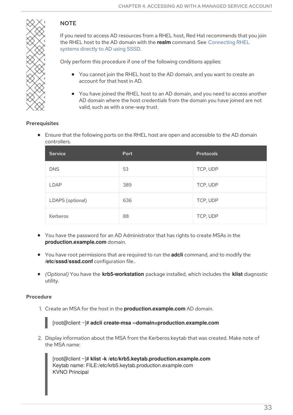### <span id="page-36-0"></span>**NOTE**

If you need to access AD resources from a RHEL host, Red Hat recommends that you join the RHEL host to the AD domain with the **realm** command. See [Connecting](https://access.redhat.com/documentation/en-us/red_hat_enterprise_linux/9/html/integrating_rhel_systems_directly_with_windows_active_directory/connecting-rhel-systems-directly-to-ad-using-sssd_integrating-rhel-systems-directly-with-active-directory) RHEL systems directly to AD using SSSD.

Only perform this procedure if one of the following conditions applies:

- You cannot join the RHEL host to the AD domain, and you want to create an account for that host in AD.
- You have joined the RHEL host to an AD domain, and you need to access another AD domain where the host credentials from the domain you have joined are not valid, such as with a one-way trust.

#### Prerequisites

Ensure that the following ports on the RHEL host are open and accessible to the AD domain controllers.

| Service          | Port | <b>Protocols</b> |
|------------------|------|------------------|
| <b>DNS</b>       | 53   | TCP, UDP         |
| <b>LDAP</b>      | 389  | TCP, UDP         |
| LDAPS (optional) | 636  | TCP, UDP         |
| Kerberos         | 88   | TCP, UDP         |

- You have the password for an AD Administrator that has rights to create MSAs in the **production.example.com** domain.
- You have root permissions that are required to run the **adcli** command, and to modify the **/etc/sssd/sssd.conf** configuration file..
- *(Optional)* You have the **krb5-workstation** package installed, which includes the **klist** diagnostic utility.

#### Procedure

1. Create an MSA for the host in the **production.example.com** AD domain.

[root@client ~]# **adcli create-msa --domain=production.example.com**

2. Display information about the MSA from the Kerberos keytab that was created. Make note of the MSA name:

[root@client ~]# **klist -k /etc/krb5.keytab.production.example.com** Keytab name: FILE:/etc/krb5.keytab.production.example.com KVNO Principal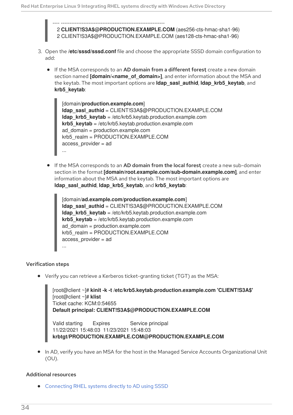---- ------------------------------------------------------------

2 **CLIENT!S3A\$@PRODUCTION.EXAMPLE.COM** (aes256-cts-hmac-sha1-96) 2 CLIENT!S3A\$@PRODUCTION.EXAMPLE.COM (aes128-cts-hmac-sha1-96)

- 3. Open the **/etc/sssd/sssd.conf** file and choose the appropriate SSSD domain configuration to add:
	- **If the MSA corresponds to an AD domain from a different forest** create a new domain section named **[domain/<name\_of\_domain>]**, and enter information about the MSA and the keytab. The most important options are **ldap\_sasl\_authid**, **ldap\_krb5\_keytab**, and **krb5\_keytab**:

```
[domain/production.example.com]
ldap_sasl_authid = CLIENT!S3A$@PRODUCTION.EXAMPLE.COM
ldap_krb5_keytab = /etc/krb5.keytab.production.example.com
krb5_keytab = /etc/krb5.keytab.production.example.com
ad_domain = production.example.com
krb5_realm = PRODUCTION.EXAMPLE.COM
access_provider = ad
...
```
• If the MSA corresponds to an AD domain from the local forest create a new sub-domain section in the format **[domain/root.example.com/sub-domain.example.com]**, and enter information about the MSA and the keytab. The most important options are **ldap\_sasl\_authid**, **ldap\_krb5\_keytab**, and **krb5\_keytab**:

```
[domain/ad.example.com/production.example.com]
ldap_sasl_authid = CLIENT!S3A$@PRODUCTION.EXAMPLE.COM
ldap_krb5_keytab = /etc/krb5.keytab.production.example.com
krb5_keytab = /etc/krb5.keytab.production.example.com
ad_domain = production.example.com
krb5_realm = PRODUCTION.EXAMPLE.COM
access_provider = ad
...
```
#### Verification steps

Verify you can retrieve a Kerberos ticket-granting ticket (TGT) as the MSA:

```
[root@client ~]# kinit -k -t /etc/krb5.keytab.production.example.com 'CLIENT!S3A$'
[root@client ~]# klist
Ticket cache: KCM:0:54655
Default principal: CLIENT!S3A$@PRODUCTION.EXAMPLE.COM
Valid starting Expires Service principal
11/22/2021 15:48:03 11/23/2021 15:48:03
krbtgt/PRODUCTION.EXAMPLE.COM@PRODUCTION.EXAMPLE.COM
```
In AD, verify you have an MSA for the host in the Managed Service Accounts Organizational Unit (OU).

#### Additional resources

[Connecting](https://access.redhat.com/documentation/en-us/red_hat_enterprise_linux/9/html/integrating_rhel_systems_directly_with_windows_active_directory/connecting-rhel-systems-directly-to-ad-using-sssd_integrating-rhel-systems-directly-with-active-directory) RHEL systems directly to AD using SSSD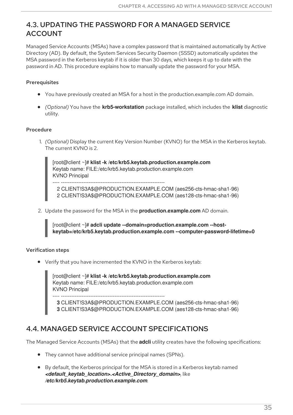# <span id="page-38-2"></span><span id="page-38-0"></span>4.3. UPDATING THE PASSWORD FOR A MANAGED SERVICE ACCOUNT

Managed Service Accounts (MSAs) have a complex password that is maintained automatically by Active Directory (AD). By default, the System Services Security Daemon (SSSD) automatically updates the MSA password in the Kerberos keytab if it is older than 30 days, which keeps it up to date with the password in AD. This procedure explains how to manually update the password for your MSA.

#### Prerequisites

- You have previously created an MSA for a host in the production.example.com AD domain.
- *(Optional)* You have the **krb5-workstation** package installed, which includes the **klist** diagnostic utility.

#### Procedure

1. *(Optional)* Display the current Key Version Number (KVNO) for the MSA in the Kerberos keytab. The current KVNO is 2.

[root@client ~]# **klist -k /etc/krb5.keytab.production.example.com** Keytab name: FILE:/etc/krb5.keytab.production.example.com KVNO Principal

---- ------------------------------------------------------------

2 CLIENT!S3A\$@PRODUCTION.EXAMPLE.COM (aes256-cts-hmac-sha1-96) 2 CLIENT!S3A\$@PRODUCTION.EXAMPLE.COM (aes128-cts-hmac-sha1-96)

2. Update the password for the MSA in the **production.example.com** AD domain.

[root@client ~]# **adcli update --domain=production.example.com --hostkeytab=/etc/krb5.keytab.production.example.com --computer-password-lifetime=0**

#### Verification steps

Verify that you have incremented the KVNO in the Kerberos keytab:

[root@client ~]# **klist -k /etc/krb5.keytab.production.example.com** Keytab name: FILE:/etc/krb5.keytab.production.example.com KVNO Principal

---- ------------------------------------------------------------

**3** CLIENT!S3A\$@PRODUCTION.EXAMPLE.COM (aes256-cts-hmac-sha1-96)

**3** CLIENT!S3A\$@PRODUCTION.EXAMPLE.COM (aes128-cts-hmac-sha1-96)

# <span id="page-38-1"></span>4.4. MANAGED SERVICE ACCOUNT SPECIFICATIONS

The Managed Service Accounts (MSAs) that the **adcli** utility creates have the following specifications:

- They cannot have additional service principal names (SPNs).
- By default, the Kerberos principal for the MSA is stored in a Kerberos keytab named *<default\_keytab\_location>.<Active\_Directory\_domain>*, like */etc/krb5.keytab.production.example.com*.